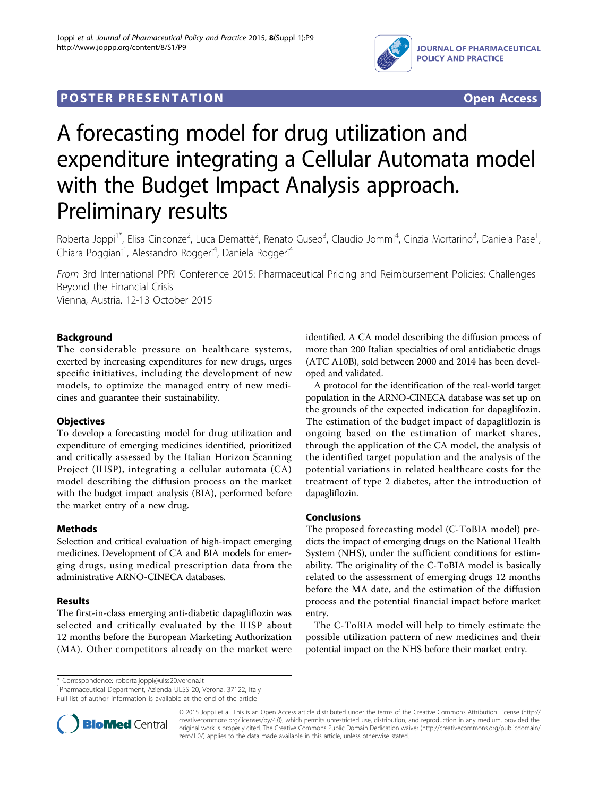

# **POSTER PRESENTATION CONSUMING ACCESS**



# A forecasting model for drug utilization and expenditure integrating a Cellular Automata model with the Budget Impact Analysis approach. Preliminary results

Roberta Joppi<sup>1\*</sup>, Elisa Cinconze<sup>2</sup>, Luca Demattè<sup>2</sup>, Renato Guseo<sup>3</sup>, Claudio Jommi<sup>4</sup>, Cinzia Mortarino<sup>3</sup>, Daniela Pase<sup>1</sup> , Chiara Poggiani<sup>1</sup>, Alessandro Roggeri<sup>4</sup>, Daniela Roggeri<sup>4</sup>

From 3rd International PPRI Conference 2015: Pharmaceutical Pricing and Reimbursement Policies: Challenges Beyond the Financial Crisis Vienna, Austria. 12-13 October 2015

Background

The considerable pressure on healthcare systems, exerted by increasing expenditures for new drugs, urges specific initiatives, including the development of new models, to optimize the managed entry of new medicines and guarantee their sustainability.

# **Objectives**

To develop a forecasting model for drug utilization and expenditure of emerging medicines identified, prioritized and critically assessed by the Italian Horizon Scanning Project (IHSP), integrating a cellular automata (CA) model describing the diffusion process on the market with the budget impact analysis (BIA), performed before the market entry of a new drug.

# Methods

Selection and critical evaluation of high-impact emerging medicines. Development of CA and BIA models for emerging drugs, using medical prescription data from the administrative ARNO-CINECA databases.

### Results

The first-in-class emerging anti-diabetic dapagliflozin was selected and critically evaluated by the IHSP about 12 months before the European Marketing Authorization (MA). Other competitors already on the market were identified. A CA model describing the diffusion process of more than 200 Italian specialties of oral antidiabetic drugs (ATC A10B), sold between 2000 and 2014 has been developed and validated.

A protocol for the identification of the real-world target population in the ARNO-CINECA database was set up on the grounds of the expected indication for dapaglifozin. The estimation of the budget impact of dapagliflozin is ongoing based on the estimation of market shares, through the application of the CA model, the analysis of the identified target population and the analysis of the potential variations in related healthcare costs for the treatment of type 2 diabetes, after the introduction of dapagliflozin.

### Conclusions

The proposed forecasting model (C-ToBIA model) predicts the impact of emerging drugs on the National Health System (NHS), under the sufficient conditions for estimability. The originality of the C-ToBIA model is basically related to the assessment of emerging drugs 12 months before the MA date, and the estimation of the diffusion process and the potential financial impact before market entry.

The C-ToBIA model will help to timely estimate the possible utilization pattern of new medicines and their potential impact on the NHS before their market entry.

\* Correspondence: [roberta.joppi@ulss20.verona.it](mailto:roberta.joppi@ulss20.verona.it)

1 Pharmaceutical Department, Azienda ULSS 20, Verona, 37122, Italy

Full list of author information is available at the end of the article



© 2015 Joppi et al. This is an Open Access article distributed under the terms of the Creative Commons Attribution License [\(http://](http://creativecommons.org/licenses/by/4.0) [creativecommons.org/licenses/by/4.0](http://creativecommons.org/licenses/by/4.0)), which permits unrestricted use, distribution, and reproduction in any medium, provided the original work is properly cited. The Creative Commons Public Domain Dedication waiver ([http://creativecommons.org/publicdomain/](http://creativecommons.org/publicdomain/zero/1.0/) [zero/1.0/](http://creativecommons.org/publicdomain/zero/1.0/)) applies to the data made available in this article, unless otherwise stated.